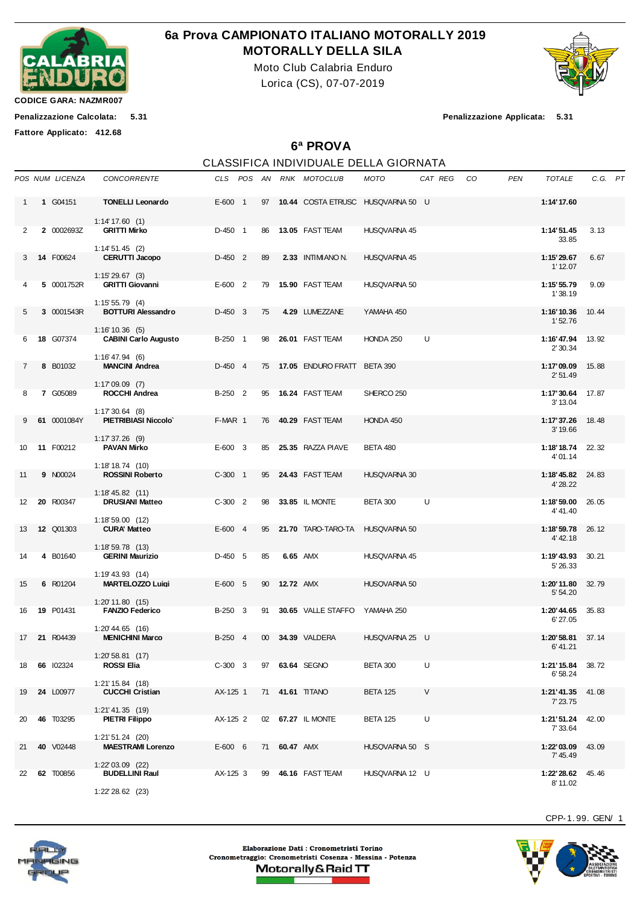

## **6a Prova CAMPIONATO ITALIANO MOTORALLY 2019 MOTORALLY DELLA SILA**

Moto Club Calabria Enduro Lorica (CS), 07-07-2019



**CODICE GARA: NAZMR007**

**Fattore Applicato: 412.68**

**Penalizzazione Calcolata: 5.31 Penalizzazione Applicata: 5.31**

## **6ª PROVA**

|                   |                  |                                                                        |           |    |                     | CLASSIFICA INDIVIDUALE DELLA GIORNATA |                     |         |    |            |                              |       |         |
|-------------------|------------------|------------------------------------------------------------------------|-----------|----|---------------------|---------------------------------------|---------------------|---------|----|------------|------------------------------|-------|---------|
|                   | POS NUM LICENZA  | <b>CONCORRENTE</b>                                                     |           |    |                     | CLS POS AN RNK MOTOCLUB               | <b>MOTO</b>         | CAT REG | CO | <b>PEN</b> | TOTALE                       |       | C.G. PT |
| $\mathbf{1}$      | 1 G04151         | <b>TONELLI Leonardo</b>                                                | $E-600$ 1 |    |                     | 97 10.44 COSTA ETRUSC HUSQVARNA 50 U  |                     |         |    |            | 1:14'17.60                   |       |         |
| 2                 | 2 0002693Z       | 1:14' 17.60(1)<br><b>GRITTI Mirko</b>                                  | D-450 1   |    |                     | 86 13.05 FAST TEAM                    | HUSQVARNA 45        |         |    |            | 1:14'51.45<br>33.85          | 3.13  |         |
| 3                 | 14 F00624        | $1:14'51.45$ (2)<br><b>CERUTTI Jacopo</b>                              | $D-450$ 2 | 89 |                     | 2.33 INTIMIANO N.                     | HUSQVARNA 45        |         |    |            | 1:15'29.67<br>1'12.07        | 6.67  |         |
| 4                 | 5 0001752R       | $1:15'29.67$ (3)<br><b>GRITTI Giovanni</b>                             | $E-600$ 2 | 79 |                     | 15.90 FAST TEAM                       | <b>HUSQVARNA 50</b> |         |    |            | 1:15' 55.79<br>1'38.19       | 9.09  |         |
| 5                 | 3 0001543R       | $1:15'55.79$ (4)<br><b>BOTTURI Alessandro</b>                          | $D-450$ 3 | 75 |                     | 4.29 LUMEZZANE                        | YAMAHA 450          |         |    |            | 1:16'10.36<br>1'52.76        | 10.44 |         |
| 6                 | 18 G07374        | $1:16'10.36$ (5)<br><b>CABINI Carlo Augusto</b>                        | B-250 1   | 98 |                     | 26.01 FAST TEAM                       | HONDA 250           | U       |    |            | 1:16'47.94<br>2' 30.34       | 13.92 |         |
| $\overline{7}$    | 8 B01032         | $1:16' 47.94$ (6)<br><b>MANCINI Andrea</b>                             | $D-450$ 4 | 75 |                     | 17.05 ENDURO FRATT BETA 390           |                     |         |    |            | 1:17'09.09<br>2'51.49        | 15.88 |         |
| 8                 | 7 G05089         | $1:17'09.09$ (7)<br><b>ROCCHI Andrea</b>                               | B-250 2   | 95 |                     | <b>16.24 FAST TEAM</b>                | SHERCO 250          |         |    |            | 1:17'30.64<br>3' 13.04       | 17.87 |         |
|                   | 61 0001084Y      | $1:17'30.64$ (8)<br><b>PIETRIBIASI Niccolo</b>                         | F-MAR 1   | 76 |                     | <b>40.29 FAST TEAM</b>                | HONDA 450           |         |    |            | 1:17'37.26<br>3' 19.66       | 18.48 |         |
| 10                | 11 F00212        | $1:17'37.26$ (9)<br><b>PAVAN Mirko</b>                                 | $E-600$ 3 |    |                     | 85 25.35 RAZZA PIAVE                  | <b>BETA 480</b>     |         |    |            | 1:18'18.74<br>4'01.14        | 22.32 |         |
| 11                | <b>9 N00024</b>  | 1:18'18.74(10)<br><b>ROSSINI Roberto</b>                               | $C-300$ 1 |    |                     | 95 24.43 FAST TEAM                    | HUSQVARNA 30        |         |    |            | 1:18'45.82<br>4' 28.22       | 24.83 |         |
| $12 \overline{ }$ | 20 R00347        | $1:18' 45.82$ (11)<br><b>DRUSIANI Matteo</b>                           | $C-300$ 2 |    |                     | 98 33.85 IL MONTE                     | <b>BETA 300</b>     | U       |    |            | 1:18'59.00<br>4' 41.40       | 26.05 |         |
| 13                | <b>12 Q01303</b> | 1:18'59.00(12)<br><b>CURA' Matteo</b>                                  | $E-600$ 4 | 95 |                     | <b>21.70 TARO-TARO-TA</b>             | <b>HUSQVARNA 50</b> |         |    |            | 1:18'59.78<br>4' 42.18       | 26.12 |         |
| 14                | 4 B01640         | $1:18'59.78$ (13)<br><b>GERINI Maurizio</b>                            | $D-450$ 5 | 85 |                     | 6.65 AMX                              | HUSQVARNA 45        |         |    |            | 1:19'43.93<br>5' 26.33       | 30.21 |         |
| 15                | 6 R01204         | $1:19'$ 43.93 $(14)$<br><b>MARTELOZZO Luigi</b>                        | $E-600$ 5 |    | 90 <b>12.72 AMX</b> |                                       | <b>HUSQVARNA 50</b> |         |    |            | 1:20'11.80<br>5' 54.20       | 32.79 |         |
| 16                | <b>19 P01431</b> | $1:20'$ 11.80 $(15)$<br><b>FANZIO Federico</b><br>$1:20'$ 44.65 $(16)$ | B-250 3   | 91 |                     | 30.65 VALLE STAFFO YAMAHA 250         |                     |         |    |            | 1:20'44.65<br>6'27.05        | 35.83 |         |
|                   | 17 21 R04439     | <b>MENICHINI Marco</b>                                                 |           |    |                     | B-250 4 00 34.39 VALDERA              | HUSQVARNA 25 U      |         |    |            | 1:20'58.81 37.14<br>6' 41.21 |       |         |
| 18                | 66 102324        | $1:20'58.81$ (17)<br>ROSSI Elia                                        | $C-300$ 3 |    |                     | 97 63.64 SEGNO                        | BETA 300            | U       |    |            | 1:21'15.84<br>6'58.24        | 38.72 |         |
| 19                | 24 L00977        | 1:21'15.84 (18)<br><b>CUCCHI Cristian</b>                              | AX-125 1  |    |                     | 71 41.61 TITANO                       | <b>BETA 125</b>     | V       |    |            | 1:21'41.35<br>7'23.75        | 41.08 |         |
| 20                | 46 T03295        | $1:21' 41.35$ (19)<br><b>PIETRI Filippo</b><br>$1:21'51.24$ (20)       | AX-125 2  |    |                     | 02 67.27 IL MONTE                     | <b>BETA 125</b>     | U       |    |            | 1:21'51.24<br>7' 33.64       | 42.00 |         |
| 21                | 40 V02448        | <b>MAESTRAMI Lorenzo</b>                                               | $E-600$ 6 |    | 71 60.47 AMX        |                                       | HUSQVARNA 50 S      |         |    |            | 1:22'03.09<br>7' 45.49       | 43.09 |         |
| 22                | 62 T00856        | $1:22'03.09$ (22)<br><b>BUDELLINI Raul</b>                             | AX-125 3  | 99 |                     | 46.16 FAST TEAM                       | HUSQVARNA 12 U      |         |    |            | 1:22' 28.62<br>8'11.02       | 45.46 |         |

1:22' 28.62 (23)

CPP-1. 99. GEN/ 1



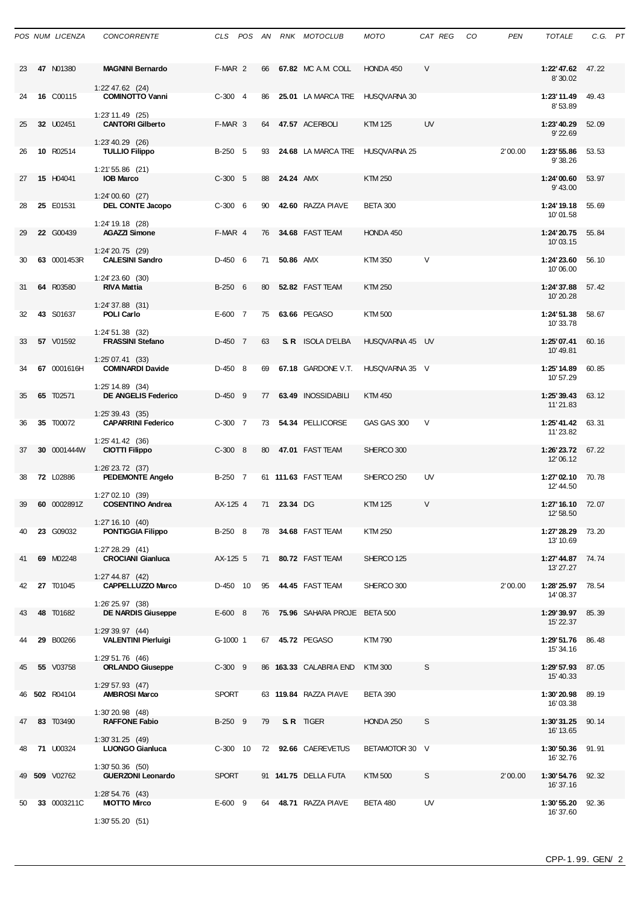|    | POS NUM LICENZA  | <b>CONCORRENTE</b>                                                   |              |    |                  | CLS POS AN RNK MOTOCLUB         | MOTO                | CAT REG | CO | <b>PEN</b> | <b>TOTALE</b>                  | C.G. PT |  |
|----|------------------|----------------------------------------------------------------------|--------------|----|------------------|---------------------------------|---------------------|---------|----|------------|--------------------------------|---------|--|
| 23 | 47 N01380        | <b>MAGNINI Bernardo</b><br>$1:22'$ 47.62 $(24)$                      | F-MAR 2      | 66 |                  | 67.82 MC A.M. COLL              | HONDA 450           | $\vee$  |    |            | 1:22'47.62 47.22<br>8'30.02    |         |  |
| 24 | 16 C00115        | <b>COMINOTTO Vanni</b><br>1:23' 11.49 (25)                           | $C-300$ 4    | 86 |                  | 25.01 LA MARCA TRE HUSQVARNA 30 |                     |         |    |            | 1:23'11.49<br>8'53.89          | 49.43   |  |
| 25 | 32 U02451        | <b>CANTORI Gilberto</b>                                              | F-MAR 3      | 64 |                  | 47.57 ACERBOLI                  | <b>KTM 125</b>      | UV      |    |            | 1:23' 40.29<br>9'22.69         | 52.09   |  |
| 26 | 10 R02514        | 1:23' 40.29 (26)<br><b>TULLIO Filippo</b>                            | B-250 5      | 93 |                  | 24.68 LA MARCA TRE              | <b>HUSQVARNA 25</b> |         |    | 2'00.00    | 1:23' 55.86<br>9'38.26         | 53.53   |  |
| 27 | 15 H04041        | $1:21'55.86$ (21)<br><b>IOB Marco</b>                                | $C-300$ 5    | 88 | <b>24.24 AMX</b> |                                 | <b>KTM 250</b>      |         |    |            | 1:24'00.60<br>9' 43.00         | 53.97   |  |
| 28 | 25 E01531        | $1:24'00.60$ (27)<br>DEL CONTE Jacopo                                | $C-300$ 6    | 90 |                  | 42.60 RAZZA PIAVE               | <b>BETA 300</b>     |         |    |            | 1:24'19.18<br>10'01.58         | 55.69   |  |
| 29 | 22 G00439        | $1:24'$ 19.18 (28)<br><b>AGAZZI Simone</b>                           | F-MAR 4      | 76 |                  | 34.68 FAST TEAM                 | HONDA 450           |         |    |            | 1:24'20.75<br>10'03.15         | 55.84   |  |
| 30 | 63 0001453R      | 1:24' 20.75 (29)<br><b>CALESINI Sandro</b>                           | $D-4506$     | 71 | <b>50.86 AMX</b> |                                 | KTM 350             | $\vee$  |    |            | 1:24'23.60<br>10'06.00         | 56.10   |  |
| 31 | 64 R03580        | $1:24'$ 23.60 $(30)$<br><b>RIVA Mattia</b>                           | B-250 6      | 80 |                  | 52.82 FAST TEAM                 | <b>KTM 250</b>      |         |    |            | 1:24'37.88<br>10'20.28         | 57.42   |  |
| 32 | 43 S01637        | $1:24'37.88$ (31)<br><b>POLI Carlo</b>                               | E-600 7      | 75 |                  | 63.66 PEGASO                    | <b>KTM500</b>       |         |    |            | 1:24' 51.38<br>10'33.78        | 58.67   |  |
| 33 | 57 V01592        | $1:24' 51.38$ (32)<br><b>FRASSINI Stefano</b>                        | D-450 7      | 63 |                  | <b>S. R.</b> ISOLA D'ELBA       | HUSQVARNA 45 UV     |         |    |            | 1:25'07.41<br>10'49.81         | 60.16   |  |
| 34 | 67 0001616H      | 1:25'07.41(33)<br><b>COMINARDI Davide</b>                            | $D-450$ 8    | 69 |                  | 67.18 GARDONE V.T.              | HUSQVARNA 35 V      |         |    |            | 1:25' 14.89<br>10' 57.29       | 60.85   |  |
| 35 | 65 T02571        | $1:25'$ 14.89 (34)<br><b>DE ANGELIS Federico</b>                     | $D-450$ 9    | 77 |                  | 63.49 INOSSIDABILI              | <b>KTM 450</b>      |         |    |            | 1:25'39.43<br>11'21.83         | 63.12   |  |
| 36 | 35 T00072        | $1:25'39.43$ (35)<br><b>CAPARRINI Federico</b>                       | $C-300$ 7    | 73 |                  | 54.34 PELLICORSE                | GAS GAS 300         | V       |    |            | 1:25' 41.42<br>11'23.82        | 63.31   |  |
| 37 | 30 0001444W      | $1:25' 41.42$ (36)<br><b>CIOTTI Filippo</b>                          | $C-300$ 8    | 80 |                  | 47.01 FAST TEAM                 | SHERCO 300          |         |    |            | 1:26'23.72<br>12'06.12         | 67.22   |  |
| 38 | <b>72 L02886</b> | $1:26'$ 23.72 $(37)$<br><b>PEDEMONTE Angelo</b><br>$1:27'02.10$ (39) | B-250 7      |    |                  | 61 111.63 FAST TEAM             | SHERCO 250          | UV      |    |            | 1:27'02.10<br>12' 44.50        | 70.78   |  |
| 39 | 60 0002891Z      | <b>COSENTINO Andrea</b><br>1:27'16.10(40)                            | AX-125 4     |    | 71 23.34 DG      |                                 | <b>KTM 125</b>      | V       |    |            | 1:27' 16.10 72.07<br>12' 58.50 |         |  |
| 40 | 23 G09032        | <b>PONTIGGIA Filippo</b><br>1:27'28.29(41)                           | B-250 8      |    |                  | 78 34.68 FAST TEAM              | KTM 250             |         |    |            | 1:27'28.29 73.20<br>13' 10.69  |         |  |
| 41 | 69 M02248        | <b>CROCIANI Gianluca</b><br>1:27' 44.87(42)                          | AX-125 5     |    |                  | 71 80.72 FAST TEAM              | SHERCO 125          |         |    |            | 1:27' 44.87<br>13' 27.27       | 74.74   |  |
| 42 | 27 T01045        | <b>CAPPELLUZZO Marco</b><br>1:26' 25.97 (38)                         | D-450 10     |    |                  | 95 44.45 FAST TEAM              | SHERCO 300          |         |    | 2'00.00    | 1:28'25.97<br>14'08.37         | 78.54   |  |
| 43 | 48 T01682        | <b>DE NARDIS Giuseppe</b><br>1:29'39.97(44)                          | $E-600$ 8    |    |                  | 76 75.96 SAHARA PROJE BETA 500  |                     |         |    |            | 1:29'39.97<br>15' 22.37        | 85.39   |  |
| 44 | 29 B00266        | <b>VALENTINI Pierluigi</b><br>1:29 51.76 (46)                        | G-1000 1     |    |                  | 67 45.72 PEGASO                 | <b>KTM790</b>       |         |    |            | 1:29'51.76 86.48<br>15' 34.16  |         |  |
| 45 | <b>55</b> V03758 | <b>ORLANDO Giuseppe</b><br>$1:29'57.93$ (47)                         | $C-300$ 9    |    |                  | 86 163.33 CALABRIA END          | <b>KTM300</b>       | S       |    |            | 1:29' 57.93<br>15' 40.33       | 87.05   |  |
| 46 | 502 R04104       | <b>AMBROSI Marco</b><br>1:30'20.98 (48)                              | <b>SPORT</b> |    |                  | 63 119.84 RAZZA PIAVE           | <b>BETA 390</b>     |         |    |            | 1:30'20.98<br>16'03.38         | 89.19   |  |
| 47 | 83 T03490        | <b>RAFFONE Fabio</b><br>1:30'31.25(49)                               | B-250 9      | 79 |                  | S.R TIGER                       | HONDA 250           | S       |    |            | 1:30'31.25<br>16' 13.65        | 90.14   |  |
| 48 | <b>71 U00324</b> | <b>LUONGO Gianluca</b><br>$1:30'50.36$ (50)                          | $C-300$ 10   |    |                  | 72 92.66 CAEREVETUS             | BETAMOTOR 30 V      |         |    |            | 1:30'50.36<br>16' 32.76        | 91.91   |  |
| 49 | 509 V02762       | <b>GUERZONI Leonardo</b><br>$1:28' 54.76$ (43)                       | <b>SPORT</b> |    |                  | 91 <b>141.75 DELLA FUTA</b>     | KTM 500             | S       |    | 2'00.00    | 1:30'54.76<br>16' 37.16        | 92.32   |  |
| 50 | 33 0003211C      | <b>MIOTTO Mirco</b><br>1:30'55.20(51)                                | $E-600$ 9    |    |                  | 64 48.71 RAZZA PIAVE            | <b>BETA 480</b>     | UV      |    |            | 1:30'55.20<br>16' 37.60        | 92.36   |  |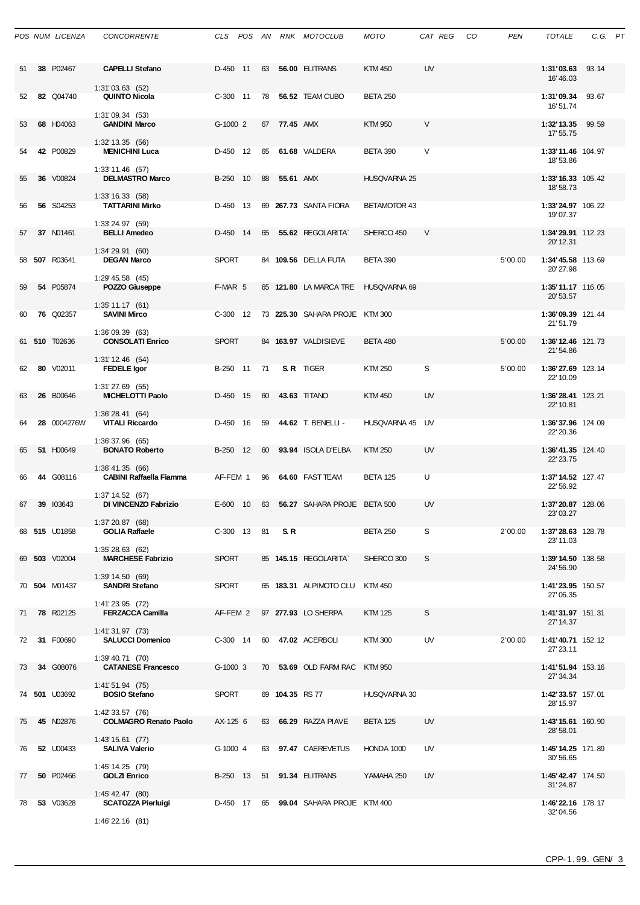|    | POS NUM LICENZA  | <b>CONCORRENTE</b>                                 |              |    |                 | CLS POS AN RNK MOTOCLUB                 | <b>MOTO</b>         | CAT REG   | CO | <b>PEN</b> | <b>TOTALE</b>                   | C.G. PT |  |
|----|------------------|----------------------------------------------------|--------------|----|-----------------|-----------------------------------------|---------------------|-----------|----|------------|---------------------------------|---------|--|
| 51 | 38 P02467        | <b>CAPELLI Stefano</b><br>$1:31'03.63$ (52)        | D-450 11     | 63 |                 | 56.00 ELITRANS                          | <b>KTM 450</b>      | UV        |    |            | 1:31'03.63<br>16' 46.03         | 93.14   |  |
| 52 | 82 Q04740        | <b>QUINTO Nicola</b>                               | $C-300$ 11   | 78 |                 | 56.52 TEAM CUBO                         | <b>BETA 250</b>     |           |    |            | 1:31'09.34<br>16' 51.74         | 93.67   |  |
| 53 | 68 H04063        | 1:31'09.34(53)<br><b>GANDINI Marco</b>             | G-1000 2     |    | 67 77.45 AMX    |                                         | <b>KTM 950</b>      | V         |    |            | 1:32' 13.35<br>17' 55.75        | 99.59   |  |
| 54 | 42 P00829        | $1:32'$ 13.35 (56)<br><b>MENICHINI Luca</b>        | D-450 12     | 65 |                 | 61.68 VALDERA                           | <b>BETA 390</b>     | V         |    |            | 1:33'11.46 104.97<br>18' 53.86  |         |  |
| 55 | 36 V00824        | $1:33'$ 11.46 (57)<br><b>DELMASTRO Marco</b>       | B-250 10     | 88 | 55.61 AMX       |                                         | <b>HUSQVARNA 25</b> |           |    |            | 1:33' 16.33 105.42<br>18' 58.73 |         |  |
| 56 | 56 S04253        | 1:33' 16.33 (58)<br><b>TATTARINI Mirko</b>         | D-450 13     |    |                 | 69 267.73 SANTA FIORA                   | <b>BETAMOTOR 43</b> |           |    |            | 1:33'24.97 106.22<br>19'07.37   |         |  |
| 57 | 37 N01461        | 1:33'24.97 (59)<br><b>BELLI Amedeo</b>             | D-450 14     | 65 |                 | 55.62 REGOLARITA`                       | SHERCO 450          | $\vee$    |    |            | 1:34'29.91 112.23<br>20' 12.31  |         |  |
|    | 58 507 R03641    | 1:34'29.91(60)<br><b>DEGAN Marco</b>               | <b>SPORT</b> |    |                 | 84 109.56 DELLA FUTA                    | <b>BETA 390</b>     |           |    | 5'00.00    | 1:34'45.58 113.69<br>20'27.98   |         |  |
| 59 | 54 P05874        | $1:29'$ 45.58 $(45)$<br>POZZO Giuseppe             | F-MAR 5      |    |                 | 65 121.80 LA MARCA TRE                  | HUSQVARNA 69        |           |    |            | 1:35' 11.17 116.05<br>20' 53.57 |         |  |
| 60 | <b>76 Q02357</b> | $1:35'$ 11.17 (61)<br><b>SAVINI Mirco</b>          | $C-300$ 12   |    |                 | 73 225.30 SAHARA PROJE KTM 300          |                     |           |    |            | 1:36'09.39 121.44<br>21'51.79   |         |  |
|    | 61 510 T02636    | 1:36'09.39 (63)<br><b>CONSOLATI Enrico</b>         | <b>SPORT</b> |    |                 | 84 163.97 VALDISIEVE                    | <b>BETA 480</b>     |           |    | 5'00.00    | 1:36' 12.46 121.73<br>21'54.86  |         |  |
| 62 | 80 V02011        | $1:31'$ 12.46 (54)<br><b>FEDELE</b> Igor           | B-250 11     | 71 |                 | S.R. TIGER                              | <b>KTM 250</b>      | S         |    | 5'00.00    | 1:36'27.69 123.14<br>22' 10.09  |         |  |
| 63 | 26 B00646        | $1:31'27.69$ (55)<br><b>MICHELOTTI Paolo</b>       | D-450 15     | 60 |                 | 43.63 TITANO                            | <b>KTM 450</b>      | UV        |    |            | 1:36'28.41 123.21<br>22' 10.81  |         |  |
| 64 | 28 0004276W      | 1:36'28.41(64)<br><b>VITALI Riccardo</b>           | D-450 16     | 59 |                 | 44.62 T. BENELLI -                      | HUSQVARNA 45 UV     |           |    |            | 1:36'37.96 124.09<br>22' 20.36  |         |  |
| 65 | 51 H00649        | 1:36' 37.96 (65)<br><b>BONATO Roberto</b>          | B-250 12     | 60 |                 | 93.94 ISOLA D'ELBA                      | <b>KTM 250</b>      | <b>UV</b> |    |            | 1:36'41.35 124.40<br>22' 23.75  |         |  |
| 66 | 44 G08116        | 1:36' 41.35 (66)<br><b>CABINI Raffaella Fiamma</b> | AF-FEM 1     |    |                 | 96 64.60 FAST TEAM                      | BETA 125            | U         |    |            | 1:37' 14.52 127.47<br>22' 56.92 |         |  |
| 67 | 39 103643        | 1:37'14.52(67)<br>DI VINCENZO Fabrizio             |              |    |                 | E-600 10 63 56.27 SAHARA PROJE BETA 500 |                     | <b>UV</b> |    |            | 1:37'20.87 128.06<br>23' 03.27  |         |  |
|    | 68 515 U01858    | 1:37'20.87(68)<br><b>GOLIA Raffaele</b>            | C-300 13 81  |    | S.R             |                                         | <b>BETA 250</b>     | S         |    | 2'00.00    | 1:37'28.63 128.78<br>23' 11.03  |         |  |
|    | 69 503 V02004    | 1:35'28.63(62)<br><b>MARCHESE Fabrizio</b>         | <b>SPORT</b> |    |                 | 85 145.15 REGOLARITA`                   | SHERCO 300          | S         |    |            | 1:39'14.50 138.58<br>24' 56.90  |         |  |
|    | 70 504 M01437    | 1:39'14.50 (69)<br><b>SANDRI Stefano</b>           | <b>SPORT</b> |    |                 | 65 183.31 ALPIMOTO CLU                  | KTM 450             |           |    |            | 1:41'23.95 150.57               |         |  |
| 71 | <b>78 R02125</b> | 1:41'23.95 (72)<br><b>FERZACCA Camilla</b>         | AF-FEM 2     |    |                 | 97 277.93 LO SHERPA                     | <b>KTM 125</b>      | S         |    |            | 27' 06.35<br>1:41'31.97 151.31  |         |  |
| 72 | 31 F00690        | 1:41'31.97 (73)<br><b>SALUCCI Domenico</b>         | C-300 14     |    |                 | 60 47.02 ACERBOLI                       | KTM 300             | UV        |    | 2'00.00    | 27' 14.37<br>1:41'40.71 152.12  |         |  |
| 73 | 34 G08076        | $1:39'$ 40.71 $(70)$<br><b>CATANESE Francesco</b>  | G-1000 3     |    |                 | 70 53.69 OLD FARM RAC KTM 950           |                     |           |    |            | 27' 23.11<br>1:41'51.94 153.16  |         |  |
|    | 74 501 U03692    | $1:41'51.94$ (75)<br><b>BOSIO Stefano</b>          | <b>SPORT</b> |    | 69 104.35 RS 77 |                                         | HUSQVARNA 30        |           |    |            | 27' 34.34<br>1:42'33.57 157.01  |         |  |
| 75 | 45 N02876        | 1:42' 33.57 (76)<br><b>COLMAGRO Renato Paolo</b>   | AX-125 6     |    |                 | 63 66.29 RAZZA PIAVE                    | <b>BETA 125</b>     | UV        |    |            | 28' 15.97<br>1:43'15.61 160.90  |         |  |
| 76 | <b>52 U00433</b> | $1:43'$ 15.61 $(77)$<br><b>SALIVA Valerio</b>      | G-1000 4     |    |                 | 63 97.47 CAEREVETUS                     | HONDA 1000          | UV        |    |            | 28' 58.01<br>1:45' 14.25 171.89 |         |  |
| 77 | 50 P02466        | 1:45' 14.25 (79)<br><b>GOLZI Enrico</b>            |              |    |                 | B-250 13 51 91.34 ELITRANS              | YAMAHA 250          | UV        |    |            | 30' 56.65<br>1:45' 42.47 174.50 |         |  |
| 78 | 53 V03628        | $1:45'$ 42.47 (80)<br><b>SCATOZZA Pierluigi</b>    |              |    |                 | D-450 17 65 99.04 SAHARA PROJE KTM 400  |                     |           |    |            | 31'24.87<br>1:46'22.16 178.17   |         |  |
|    |                  | 1:46' 22.16 (81)                                   |              |    |                 |                                         |                     |           |    |            | 32'04.56                        |         |  |